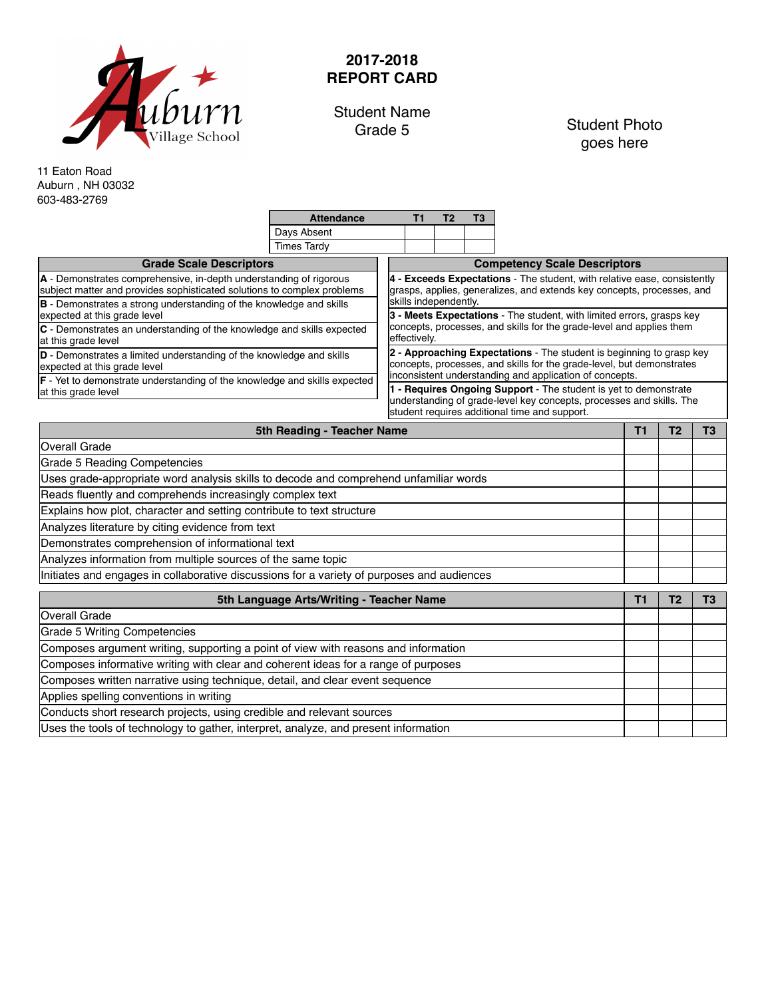

## **2017-2018 REPORT CARD**

Student Name<br>Grade 5

Student Photo goes here

11 Eaton Road Auburn , NH 03032 603-483-2769

|                                                                                                                                               | <b>Attendance</b>                             |                                     |                                                                                                                                                                                                     | Т2 | T3 |  |  |  |  |  |
|-----------------------------------------------------------------------------------------------------------------------------------------------|-----------------------------------------------|-------------------------------------|-----------------------------------------------------------------------------------------------------------------------------------------------------------------------------------------------------|----|----|--|--|--|--|--|
|                                                                                                                                               | Days Absent                                   |                                     |                                                                                                                                                                                                     |    |    |  |  |  |  |  |
|                                                                                                                                               | <b>Times Tardy</b>                            |                                     |                                                                                                                                                                                                     |    |    |  |  |  |  |  |
| <b>Grade Scale Descriptors</b>                                                                                                                |                                               | <b>Competency Scale Descriptors</b> |                                                                                                                                                                                                     |    |    |  |  |  |  |  |
| A - Demonstrates comprehensive, in-depth understanding of rigorous<br>subject matter and provides sophisticated solutions to complex problems |                                               |                                     | 4 - Exceeds Expectations - The student, with relative ease, consistently<br>grasps, applies, generalizes, and extends key concepts, processes, and<br>skills independently.                         |    |    |  |  |  |  |  |
| <b>B</b> - Demonstrates a strong understanding of the knowledge and skills<br>expected at this grade level                                    |                                               |                                     | 3 - Meets Expectations - The student, with limited errors, grasps key                                                                                                                               |    |    |  |  |  |  |  |
| C - Demonstrates an understanding of the knowledge and skills expected<br>at this grade level                                                 |                                               |                                     | concepts, processes, and skills for the grade-level and applies them<br>effectively.                                                                                                                |    |    |  |  |  |  |  |
| <b>D</b> - Demonstrates a limited understanding of the knowledge and skills<br>expected at this grade level                                   |                                               |                                     | 2 - Approaching Expectations - The student is beginning to grasp key<br>concepts, processes, and skills for the grade-level, but demonstrates                                                       |    |    |  |  |  |  |  |
| <b>F</b> - Yet to demonstrate understanding of the knowledge and skills expected<br>at this grade level                                       |                                               |                                     | inconsistent understanding and application of concepts.<br>1 - Requires Ongoing Support - The student is yet to demonstrate<br>understanding of grade-level key concepts, processes and skills. The |    |    |  |  |  |  |  |
|                                                                                                                                               | student requires additional time and support. |                                     |                                                                                                                                                                                                     |    |    |  |  |  |  |  |
|                                                                                                                                               |                                               |                                     |                                                                                                                                                                                                     |    |    |  |  |  |  |  |

| 5th Reading - Teacher Name                                                                 | т  |    |  |  |  |
|--------------------------------------------------------------------------------------------|----|----|--|--|--|
| Overall Grade                                                                              |    |    |  |  |  |
| Grade 5 Reading Competencies                                                               |    |    |  |  |  |
| Uses grade-appropriate word analysis skills to decode and comprehend unfamiliar words      |    |    |  |  |  |
| Reads fluently and comprehends increasingly complex text                                   |    |    |  |  |  |
| Explains how plot, character and setting contribute to text structure                      |    |    |  |  |  |
| Analyzes literature by citing evidence from text                                           |    |    |  |  |  |
| Demonstrates comprehension of informational text                                           |    |    |  |  |  |
| Analyzes information from multiple sources of the same topic                               |    |    |  |  |  |
| Initiates and engages in collaborative discussions for a variety of purposes and audiences |    |    |  |  |  |
| 5th Language Arts/Writing - Teacher Name                                                   | Τ1 | Т2 |  |  |  |
| Overall Grade                                                                              |    |    |  |  |  |
| Grade 5 Writing Competencies                                                               |    |    |  |  |  |
|                                                                                            |    |    |  |  |  |
| Composes argument writing, supporting a point of view with reasons and information         |    |    |  |  |  |
| Composes informative writing with clear and coherent ideas for a range of purposes         |    |    |  |  |  |
| Composes written narrative using technique, detail, and clear event sequence               |    |    |  |  |  |
| Applies spelling conventions in writing                                                    |    |    |  |  |  |

Conducts short research projects, using credible and relevant sources

Uses the tools of technology to gather, interpret, analyze, and present information